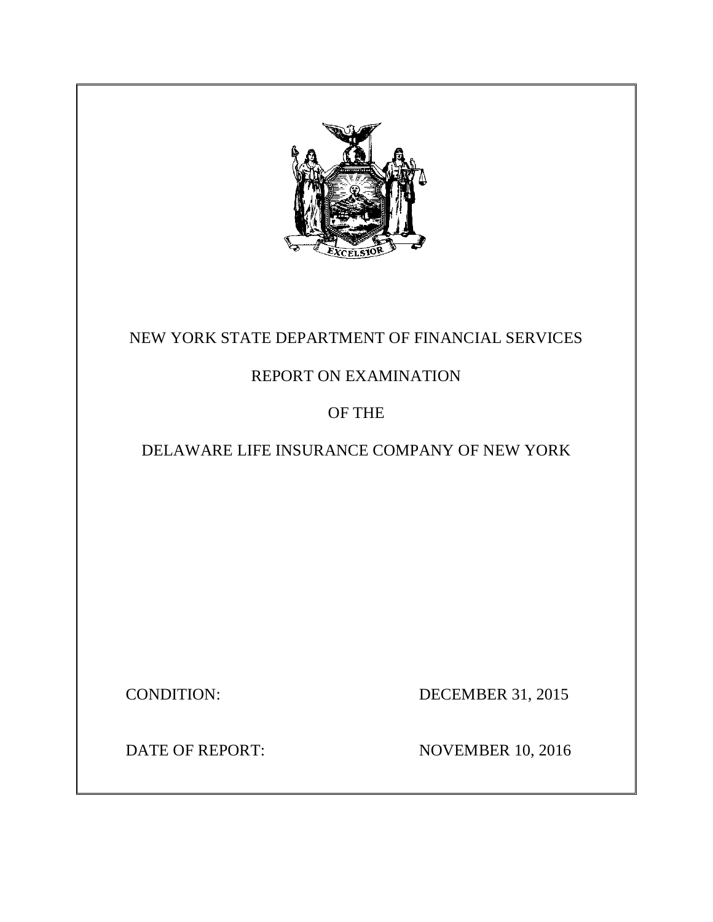

# NEW YORK STATE DEPARTMENT OF FINANCIAL SERVICES

# REPORT ON EXAMINATION

# OF THE

# DELAWARE LIFE INSURANCE COMPANY OF NEW YORK

**CONDITION:** 

DECEMBER 31, 2015

**DATE OF REPORT:** 

**NOVEMBER 10, 2016**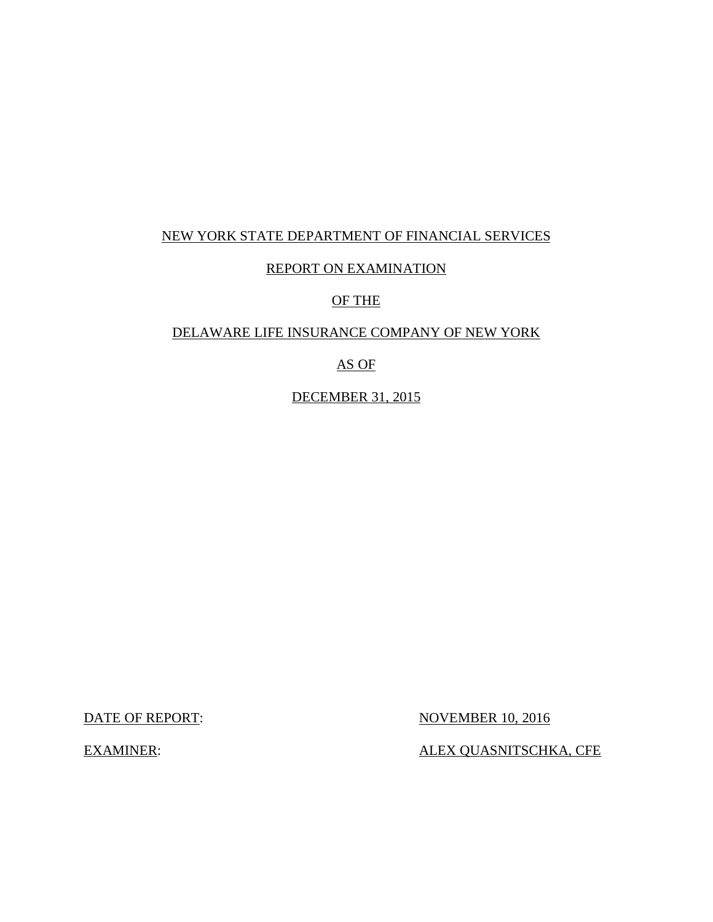# NEW YORK STATE DEPARTMENT OF FINANCIAL SERVICES

# REPORT ON EXAMINATION

# OF THE

## DELAWARE LIFE INSURANCE COMPANY OF NEW YORK

## AS OF

DECEMBER 31, 2015

**DATE OF REPORT:** 

**NOVEMBER 10, 2016** 

**EXAMINER:** 

ALEX QUASNITSCHKA, CFE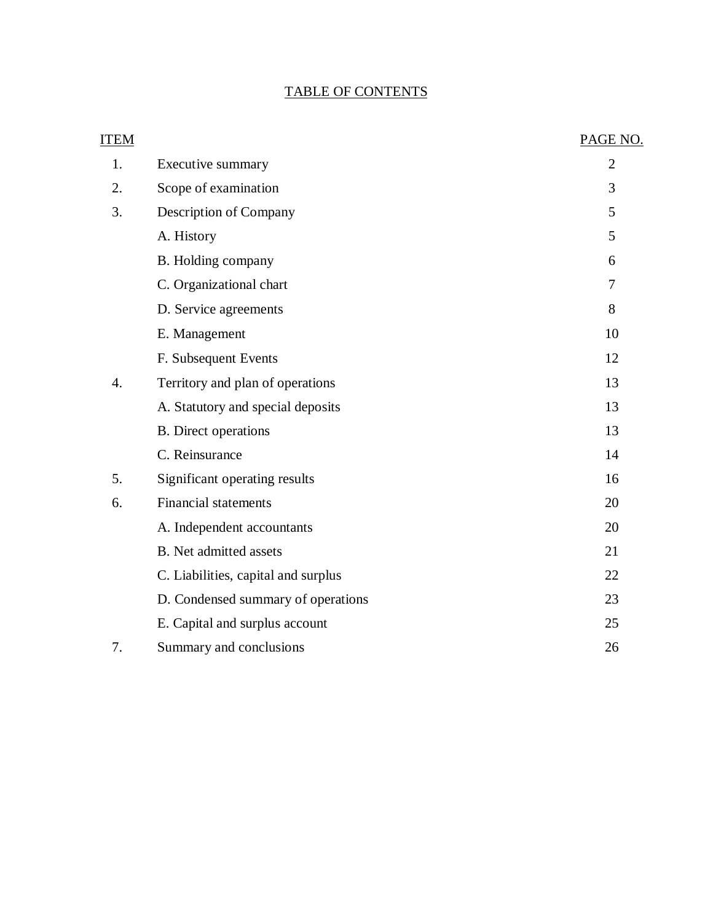## TABLE OF CONTENTS

| <b>ITEM</b> |                                     | PAGE NO.       |
|-------------|-------------------------------------|----------------|
| 1.          | Executive summary                   | $\overline{2}$ |
| 2.          | Scope of examination                | 3              |
| 3.          | Description of Company              | 5              |
|             | A. History                          | 5              |
|             | B. Holding company                  | 6              |
|             | C. Organizational chart             | 7              |
|             | D. Service agreements               | 8              |
|             | E. Management                       | 10             |
|             | F. Subsequent Events                | 12             |
| 4.          | Territory and plan of operations    | 13             |
|             | A. Statutory and special deposits   | 13             |
|             | <b>B.</b> Direct operations         | 13             |
|             | C. Reinsurance                      | 14             |
| 5.          | Significant operating results       | 16             |
| 6.          | <b>Financial statements</b>         | 20             |
|             | A. Independent accountants          | 20             |
|             | <b>B.</b> Net admitted assets       | 21             |
|             | C. Liabilities, capital and surplus | 22             |
|             | D. Condensed summary of operations  | 23             |
|             | E. Capital and surplus account      | 25             |
| 7.          | Summary and conclusions             | 26             |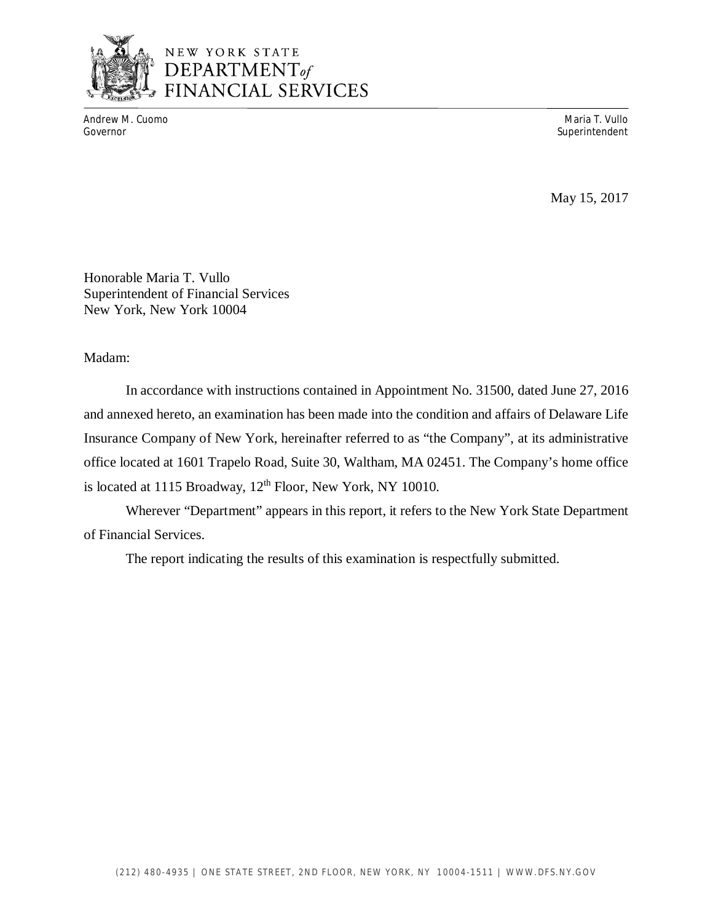

# NEW YORK STATE DEPARTMENT<sub>of</sub> FINANCIAL SERVICES

Andrew M. Cuomo **Maria T. Vullo** Maria T. Vullo Maria T. Vullo Maria T. Vullo Maria T. Vullo Maria T. Vullo Maria T. Vullo Governor Superintendent Superintendent Superintendent Superintendent Superintendent Superintendent Superintendent

May 15, 2017

 Honorable Maria T. Vullo Superintendent of Financial Services New York, New York 10004

Madam:

 and annexed hereto, an examination has been made into the condition and affairs of Delaware Life Insurance Company of New York, hereinafter referred to as "the Company", at its administrative office located at 1601 Trapelo Road, Suite 30, Waltham, MA 02451. The Company's home office is located at 1115 Broadway, 12<sup>th</sup> Floor, New York, NY 10010. In accordance with instructions contained in Appointment No. 31500, dated June 27, 2016

 Wherever "Department" appears in this report, it refers to the New York State Department of Financial Services.

The report indicating the results of this examination is respectfully submitted.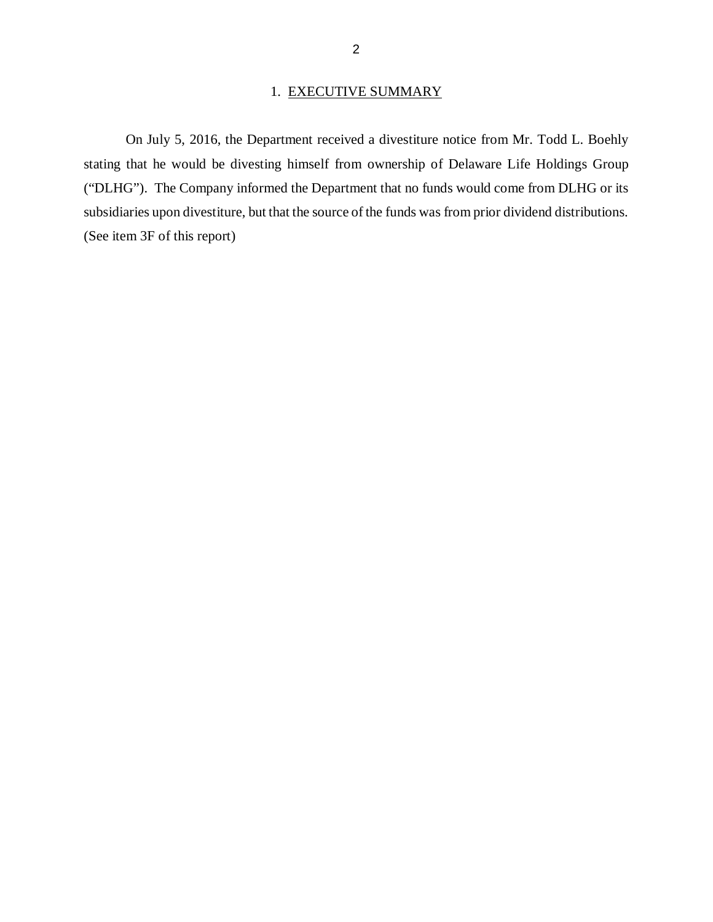#### 1. EXECUTIVE SUMMARY

<span id="page-4-0"></span> stating that he would be divesting himself from ownership of Delaware Life Holdings Group ("DLHG"). The Company informed the Department that no funds would come from DLHG or its subsidiaries upon divestiture, but that the source of the funds was from prior dividend distributions. (See item 3F of this report) On July 5, 2016, the Department received a divestiture notice from Mr. Todd L. Boehly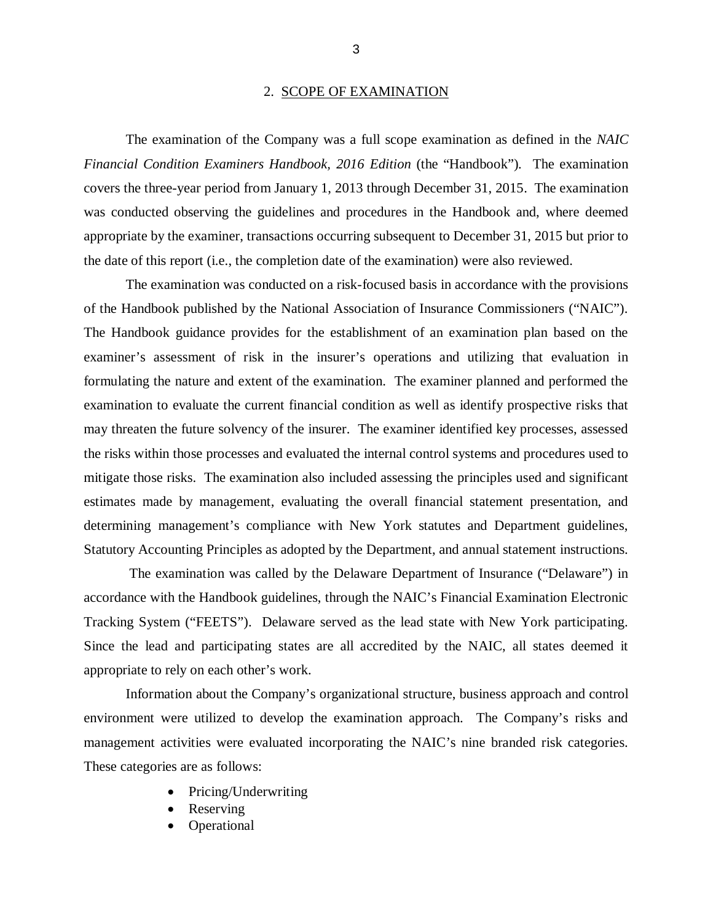#### 2. SCOPE OF EXAMINATION

<span id="page-5-0"></span> *Financial Condition Examiners Handbook, 2016 Edition* (the "Handbook")*.* The examination covers the three-year period from January 1, 2013 through December 31, 2015. The examination was conducted observing the guidelines and procedures in the Handbook and, where deemed appropriate by the examiner, transactions occurring subsequent to December 31, 2015 but prior to the date of this report (i.e., the completion date of the examination) were also reviewed. The examination of the Company was a full scope examination as defined in the *NAIC* 

 of the Handbook published by the National Association of Insurance Commissioners ("NAIC"). The Handbook guidance provides for the establishment of an examination plan based on the examiner's assessment of risk in the insurer's operations and utilizing that evaluation in formulating the nature and extent of the examination. The examiner planned and performed the examination to evaluate the current financial condition as well as identify prospective risks that may threaten the future solvency of the insurer. The examiner identified key processes, assessed the risks within those processes and evaluated the internal control systems and procedures used to mitigate those risks. The examination also included assessing the principles used and significant estimates made by management, evaluating the overall financial statement presentation, and determining management's compliance with New York statutes and Department guidelines, Statutory Accounting Principles as adopted by the Department, and annual statement instructions. The examination was conducted on a risk-focused basis in accordance with the provisions

 accordance with the Handbook guidelines, through the NAIC's Financial Examination Electronic Tracking System ("FEETS"). Delaware served as the lead state with New York participating. Since the lead and participating states are all accredited by the NAIC, all states deemed it appropriate to rely on each other's work. The examination was called by the Delaware Department of Insurance ("Delaware") in

 Information about the Company's organizational structure, business approach and control environment were utilized to develop the examination approach. The Company's risks and management activities were evaluated incorporating the NAIC's nine branded risk categories. These categories are as follows:

- Pricing/Underwriting
- **Reserving**
- Operational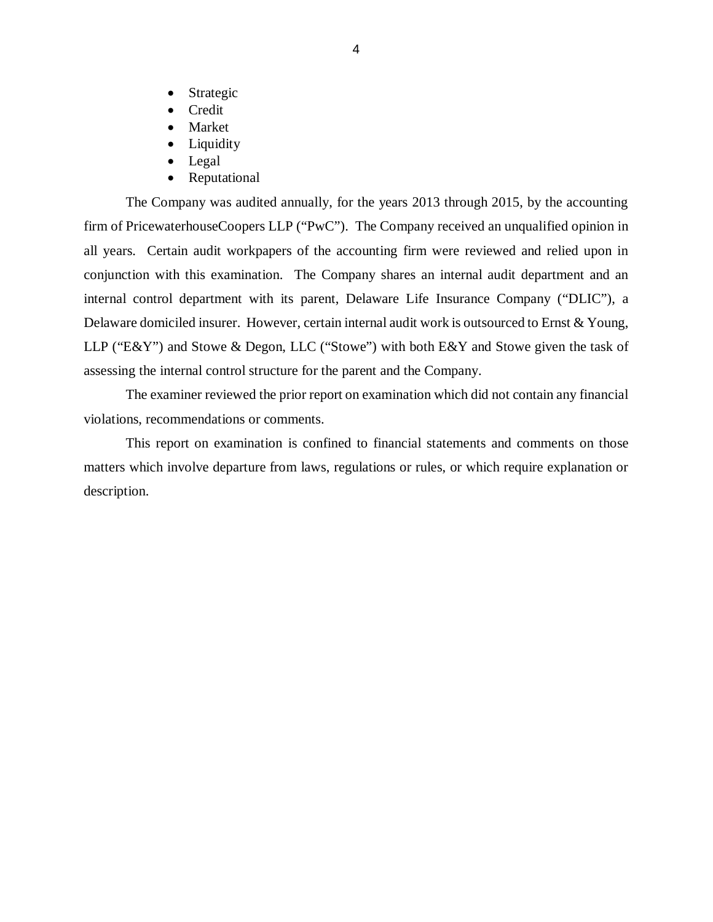- Strategic
- Credit
- Market
- Liquidity
- Legal
- Reputational

 The Company was audited annually, for the years 2013 through 2015, by the accounting firm of PricewaterhouseCoopers LLP ("PwC"). The Company received an unqualified opinion in all years. Certain audit workpapers of the accounting firm were reviewed and relied upon in conjunction with this examination. The Company shares an internal audit department and an internal control department with its parent, Delaware Life Insurance Company ("DLIC"), a Delaware domiciled insurer. However, certain internal audit work is outsourced to Ernst & Young, LLP ("E&Y") and Stowe & Degon, LLC ("Stowe") with both E&Y and Stowe given the task of assessing the internal control structure for the parent and the Company.

 violations, recommendations or comments. The examiner reviewed the prior report on examination which did not contain any financial

 matters which involve departure from laws, regulations or rules, or which require explanation or This report on examination is confined to financial statements and comments on those description.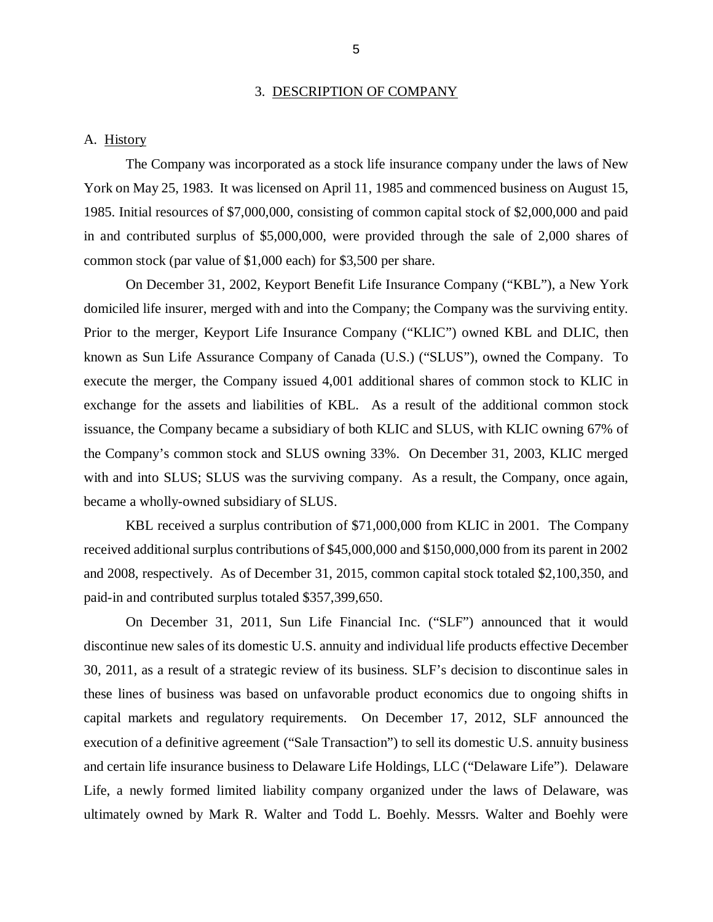#### 3. DESCRIPTION OF COMPANY

#### A. History

 The Company was incorporated as a stock life insurance company under the laws of New York on May 25, 1983. It was licensed on April 11, 1985 and commenced business on August 15, 1985. Initial resources of \$7,000,000, consisting of common capital stock of \$2,000,000 and paid in and contributed surplus of \$5,000,000, were provided through the sale of 2,000 shares of common stock (par value of \$1,000 each) for \$3,500 per share.

 domiciled life insurer, merged with and into the Company; the Company was the surviving entity. Prior to the merger, Keyport Life Insurance Company ("KLIC") owned KBL and DLIC, then known as Sun Life Assurance Company of Canada (U.S.) ("SLUS"), owned the Company. To execute the merger, the Company issued 4,001 additional shares of common stock to KLIC in exchange for the assets and liabilities of KBL. As a result of the additional common stock issuance, the Company became a subsidiary of both KLIC and SLUS, with KLIC owning 67% of the Company's common stock and SLUS owning 33%. On December 31, 2003, KLIC merged with and into SLUS; SLUS was the surviving company. As a result, the Company, once again, became a wholly-owned subsidiary of SLUS. On December 31, 2002, Keyport Benefit Life Insurance Company ("KBL"), a New York

 received additional surplus contributions of \$45,000,000 and \$150,000,000 from its parent in 2002 and 2008, respectively. As of December 31, 2015, common capital stock totaled \$2,100,350, and KBL received a surplus contribution of \$71,000,000 from KLIC in 2001. The Company paid-in and contributed surplus totaled \$357,399,650.

 On December 31, 2011, Sun Life Financial Inc. ("SLF") announced that it would discontinue new sales of its domestic U.S. annuity and individual life products effective December 30, 2011, as a result of a strategic review of its business. SLF's decision to discontinue sales in these lines of business was based on unfavorable product economics due to ongoing shifts in capital markets and regulatory requirements. On December 17, 2012, SLF announced the execution of a definitive agreement ("Sale Transaction") to sell its domestic U.S. annuity business and certain life insurance business to Delaware Life Holdings, LLC ("Delaware Life"). Delaware Life, a newly formed limited liability company organized under the laws of Delaware, was ultimately owned by Mark R. Walter and Todd L. Boehly. Messrs. Walter and Boehly were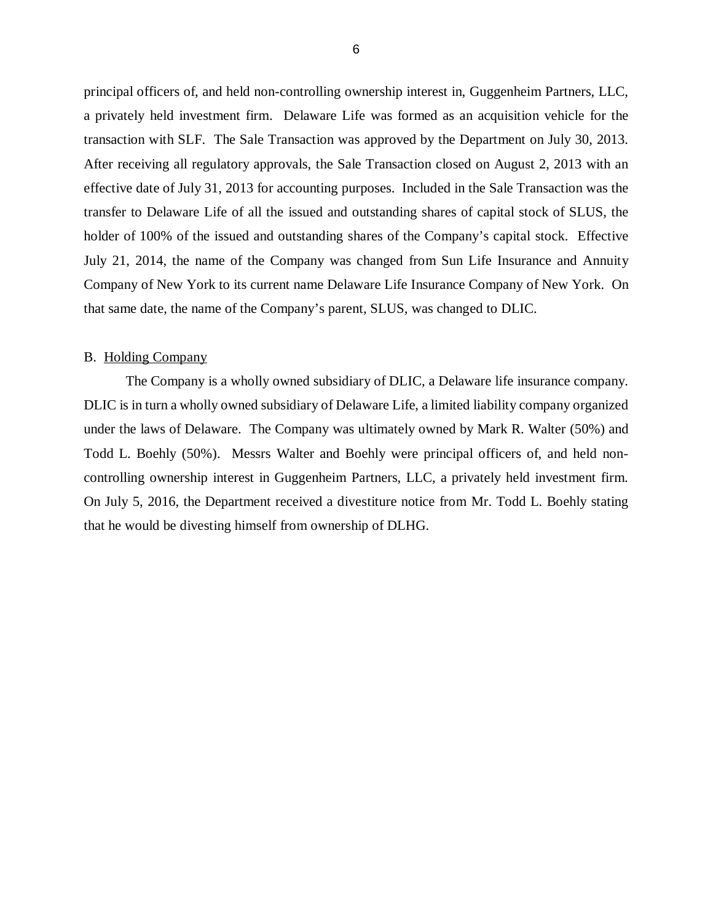<span id="page-8-0"></span> principal officers of, and held non-controlling ownership interest in, Guggenheim Partners, LLC, a privately held investment firm. Delaware Life was formed as an acquisition vehicle for the transaction with SLF. The Sale Transaction was approved by the Department on July 30, 2013. After receiving all regulatory approvals, the Sale Transaction closed on August 2, 2013 with an effective date of July 31, 2013 for accounting purposes. Included in the Sale Transaction was the transfer to Delaware Life of all the issued and outstanding shares of capital stock of SLUS, the holder of 100% of the issued and outstanding shares of the Company's capital stock. Effective July 21, 2014, the name of the Company was changed from Sun Life Insurance and Annuity Company of New York to its current name Delaware Life Insurance Company of New York. On that same date, the name of the Company's parent, SLUS, was changed to DLIC.

#### B. Holding Company

 The Company is a wholly owned subsidiary of DLIC, a Delaware life insurance company. DLIC is in turn a wholly owned subsidiary of Delaware Life, a limited liability company organized under the laws of Delaware. The Company was ultimately owned by Mark R. Walter (50%) and Todd L. Boehly (50%). Messrs Walter and Boehly were principal officers of, and held non- controlling ownership interest in Guggenheim Partners, LLC, a privately held investment firm. On July 5, 2016, the Department received a divestiture notice from Mr. Todd L. Boehly stating that he would be divesting himself from ownership of DLHG.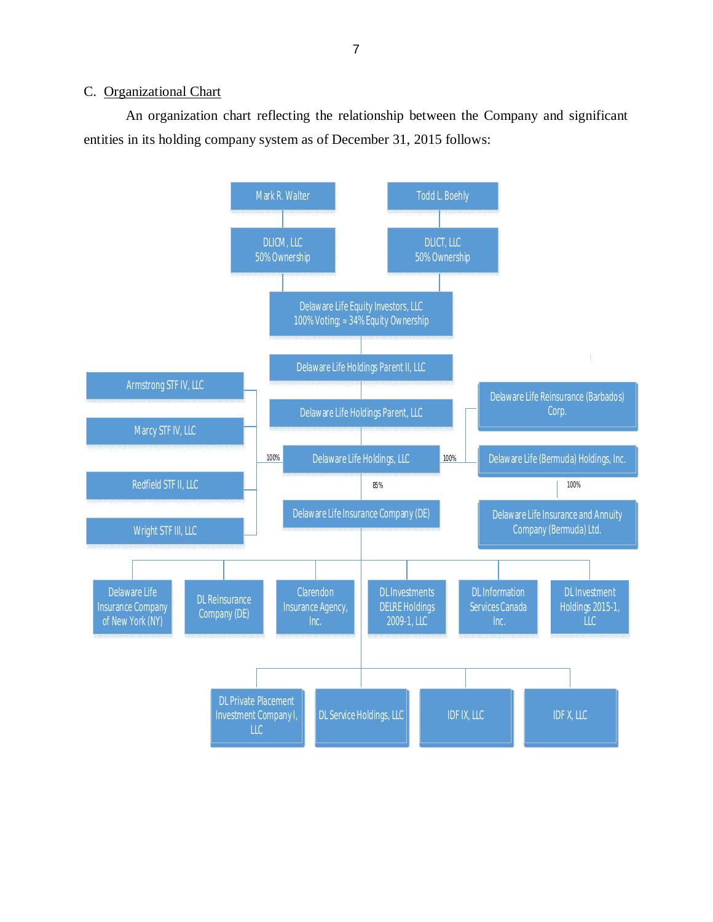#### <span id="page-9-0"></span>C. Organizational Chart

 entities in its holding company system as of December 31, 2015 follows: An organization chart reflecting the relationship between the Company and significant

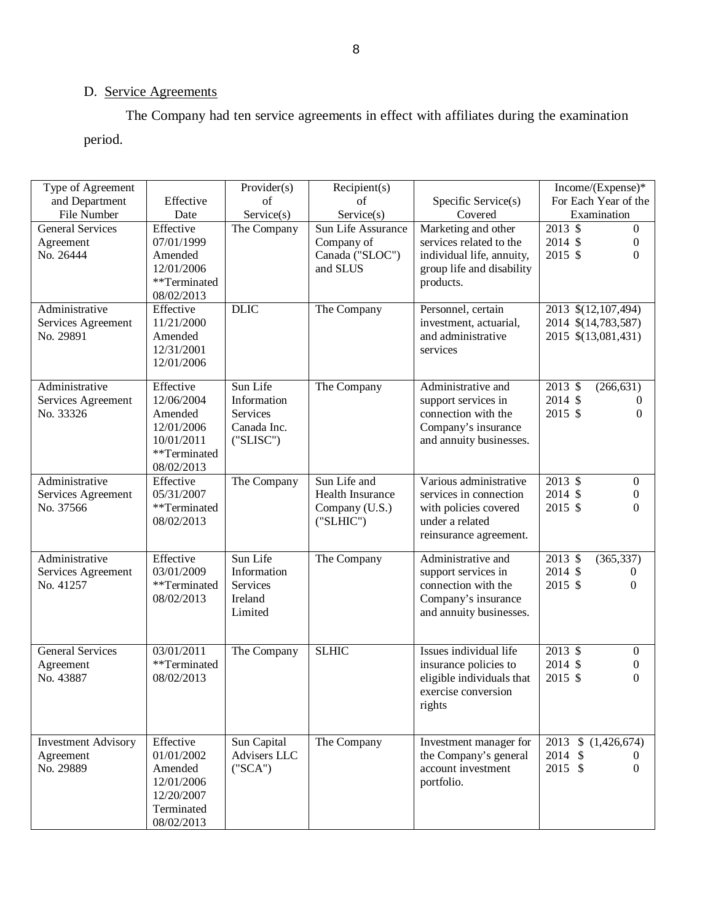## D. Service Agreements

The Company had ten service agreements in effect with affiliates during the examination

| period.                    |              |              |                    |                           |                                    |
|----------------------------|--------------|--------------|--------------------|---------------------------|------------------------------------|
|                            |              |              |                    |                           |                                    |
|                            |              |              |                    |                           |                                    |
| Type of Agreement          |              | Provider(s)  | Recipient(s)       |                           | Income/(Expense)*                  |
| and Department             | Effective    | of           | $\sigma$ f         | Specific Service(s)       | For Each Year of the               |
| File Number                | Date         | Service(s)   | Service(s)         | Covered                   | Examination                        |
| <b>General Services</b>    | Effective    | The Company  | Sun Life Assurance | Marketing and other       | $2013 \text{ }$ \$<br>$\mathbf{0}$ |
| Agreement                  | 07/01/1999   |              | Company of         | services related to the   | 2014 \$<br>$\boldsymbol{0}$        |
| No. 26444                  | Amended      |              | Canada ("SLOC")    | individual life, annuity, | 2015 \$<br>$\Omega$                |
|                            | 12/01/2006   |              | and SLUS           | group life and disability |                                    |
|                            | **Terminated |              |                    | products.                 |                                    |
|                            | 08/02/2013   |              |                    |                           |                                    |
| Administrative             | Effective    | <b>DLIC</b>  | The Company        | Personnel, certain        | 2013 \$(12,107,494)                |
| Services Agreement         | 11/21/2000   |              |                    | investment, actuarial,    | 2014 \$(14,783,587)                |
| No. 29891                  | Amended      |              |                    | and administrative        | 2015 \$(13,081,431)                |
|                            | 12/31/2001   |              |                    | services                  |                                    |
|                            | 12/01/2006   |              |                    |                           |                                    |
| Administrative             | Effective    | Sun Life     | The Company        | Administrative and        | 2013 \$<br>(266, 631)              |
| Services Agreement         | 12/06/2004   | Information  |                    | support services in       | 2014 \$<br>$\theta$                |
| No. 33326                  | Amended      | Services     |                    | connection with the       | 2015 \$<br>$\theta$                |
|                            | 12/01/2006   | Canada Inc.  |                    | Company's insurance       |                                    |
|                            | 10/01/2011   | ('SLISC")    |                    | and annuity businesses.   |                                    |
|                            | **Terminated |              |                    |                           |                                    |
|                            | 08/02/2013   |              |                    |                           |                                    |
| Administrative             | Effective    | The Company  | Sun Life and       | Various administrative    | $2013 \text{ }$ \$<br>$\mathbf{0}$ |
| Services Agreement         | 05/31/2007   |              | Health Insurance   | services in connection    | 2014 \$<br>$\boldsymbol{0}$        |
| No. 37566                  | **Terminated |              | Company (U.S.)     | with policies covered     | 2015 \$<br>$\Omega$                |
|                            | 08/02/2013   |              | ('SLHIC")          | under a related           |                                    |
|                            |              |              |                    | reinsurance agreement.    |                                    |
| Administrative             | Effective    | Sun Life     | The Company        | Administrative and        | 2013 \$<br>(365, 337)              |
| Services Agreement         | 03/01/2009   | Information  |                    | support services in       | 2014 \$<br>$\theta$                |
| No. 41257                  | **Terminated | Services     |                    | connection with the       | 2015 \$<br>$\theta$                |
|                            | 08/02/2013   | Ireland      |                    | Company's insurance       |                                    |
|                            |              | Limited      |                    | and annuity businesses.   |                                    |
|                            |              |              |                    |                           |                                    |
|                            |              |              |                    |                           |                                    |
| <b>General Services</b>    | 03/01/2011   | The Company  | <b>SLHIC</b>       | Issues individual life    | 2013 \$<br>$\mathbf{0}$            |
| Agreement                  | **Terminated |              |                    | insurance policies to     | 2014 \$<br>$\boldsymbol{0}$        |
| No. 43887                  | 08/02/2013   |              |                    | eligible individuals that | $\Omega$<br>2015 \$                |
|                            |              |              |                    | exercise conversion       |                                    |
|                            |              |              |                    | rights                    |                                    |
|                            |              |              |                    |                           |                                    |
| <b>Investment Advisory</b> | Effective    | Sun Capital  | The Company        | Investment manager for    | $\overline{2013}$ \$ $(1,426,674)$ |
| Agreement                  | 01/01/2002   | Advisers LLC |                    | the Company's general     | 2014 \$<br>$\theta$                |
| No. 29889                  | Amended      | ("SCA")      |                    | account investment        | 2015 \$<br>$\overline{0}$          |
|                            | 12/01/2006   |              |                    | portfolio.                |                                    |
|                            | 12/20/2007   |              |                    |                           |                                    |
|                            | Terminated   |              |                    |                           |                                    |
|                            | 08/02/2013   |              |                    |                           |                                    |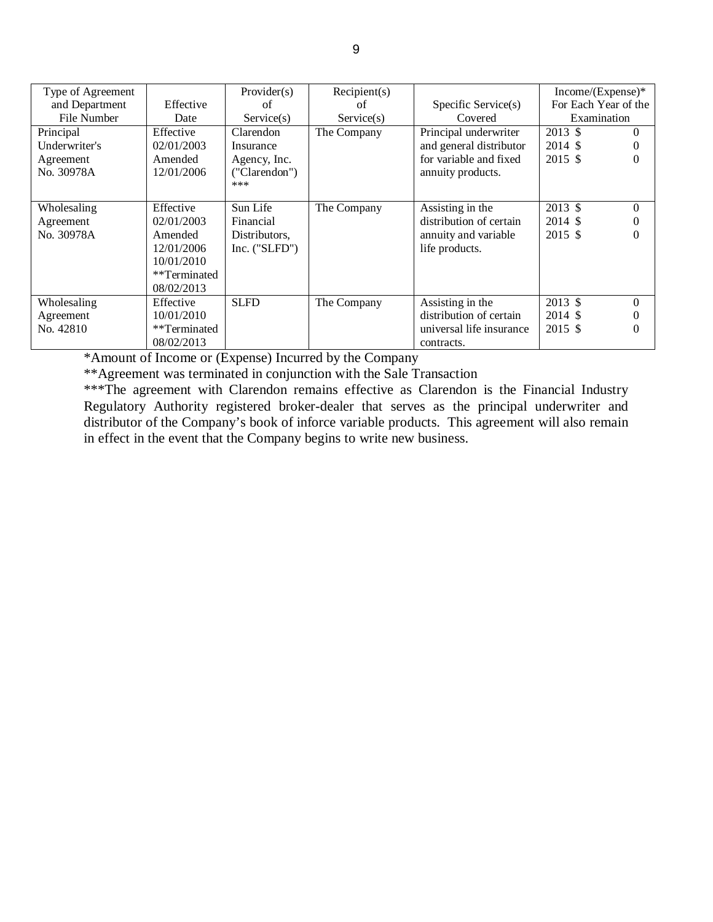| Type of Agreement |              | Provider(s)     | Recipient(s) |                          | Income/(Expense)*    |          |
|-------------------|--------------|-----------------|--------------|--------------------------|----------------------|----------|
| and Department    | Effective    | of              | of           | Specific Service(s)      | For Each Year of the |          |
| File Number       | Date         | Service(s)      | Service(s)   | Covered                  | Examination          |          |
| Principal         | Effective    | Clarendon       | The Company  | Principal underwriter    | 2013 \$              | $\theta$ |
| Underwriter's     | 02/01/2003   | Insurance       |              | and general distributor  | 2014 \$              | $\theta$ |
| Agreement         | Amended      | Agency, Inc.    |              | for variable and fixed   | 2015 \$              | 0        |
| No. 30978A        | 12/01/2006   | ("Clarendon")   |              | annuity products.        |                      |          |
|                   |              | ***             |              |                          |                      |          |
| Wholesaling       | Effective    | Sun Life        | The Company  | Assisting in the         | 2013 \$              | $\Omega$ |
|                   |              |                 |              |                          |                      |          |
| Agreement         | 02/01/2003   | Financial       |              | distribution of certain  | 2014 \$              |          |
| No. 30978A        | Amended      | Distributors,   |              | annuity and variable     | 2015 \$              | $\Omega$ |
|                   | 12/01/2006   | Inc. $("SLFD")$ |              | life products.           |                      |          |
|                   | 10/01/2010   |                 |              |                          |                      |          |
|                   | **Terminated |                 |              |                          |                      |          |
|                   | 08/02/2013   |                 |              |                          |                      |          |
| Wholesaling       | Effective    | <b>SLFD</b>     | The Company  | Assisting in the         | 2013 \$              | $\Omega$ |
| Agreement         | 10/01/2010   |                 |              | distribution of certain  | 2014 \$              |          |
| No. 42810         | **Terminated |                 |              | universal life insurance | 2015 \$              | 0        |
|                   | 08/02/2013   |                 |              | contracts.               |                      |          |

\*Amount of Income or (Expense) Incurred by the Company

\*\*Agreement was terminated in conjunction with the Sale Transaction

\*\*\*The agreement with Clarendon remains effective as Clarendon is the Financial Industry Regulatory Authority registered broker-dealer that serves as the principal underwriter and distributor of the Company's book of inforce variable products. This agreement will also remain in effect in the event that the Company begins to write new business.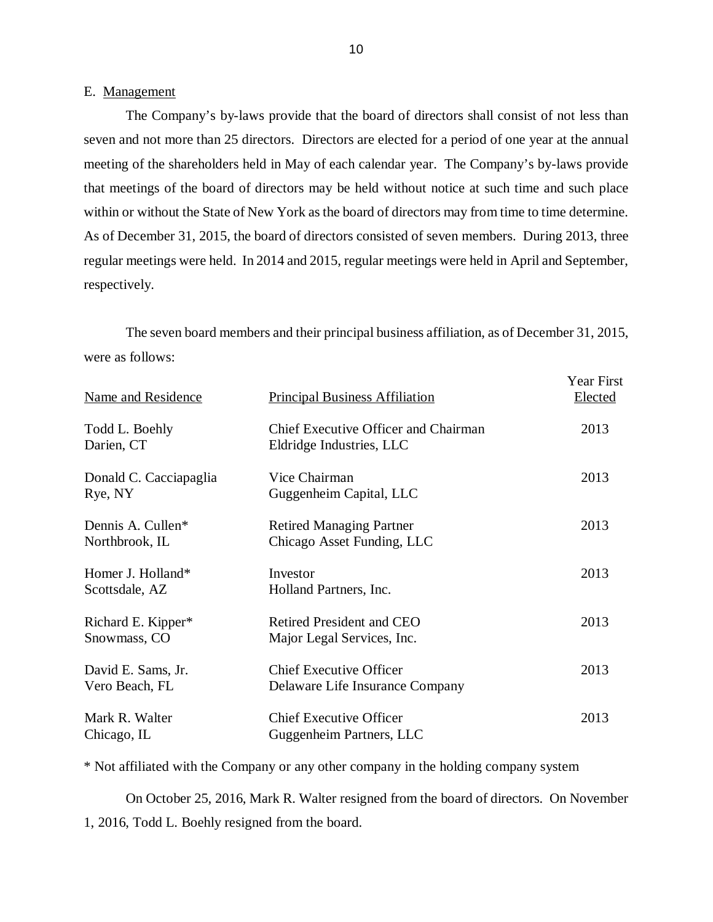#### E. Management

 seven and not more than 25 directors. Directors are elected for a period of one year at the annual meeting of the shareholders held in May of each calendar year. The Company's by-laws provide that meetings of the board of directors may be held without notice at such time and such place within or without the State of New York as the board of directors may from time to time determine. As of December 31, 2015, the board of directors consisted of seven members. During 2013, three regular meetings were held. In 2014 and 2015, regular meetings were held in April and September, respectively. respectively. The seven board members and their principal business affiliation, as of December 31, 2015, The Company's by-laws provide that the board of directors shall consist of not less than

were as follows:

| Name and Residence                   | <b>Principal Business Affiliation</b>                             | Year First<br>Elected |
|--------------------------------------|-------------------------------------------------------------------|-----------------------|
| Todd L. Boehly<br>Darien, CT         | Chief Executive Officer and Chairman<br>Eldridge Industries, LLC  | 2013                  |
| Donald C. Cacciapaglia<br>Rye, NY    | Vice Chairman<br>Guggenheim Capital, LLC                          | 2013                  |
| Dennis A. Cullen*<br>Northbrook, IL  | <b>Retired Managing Partner</b><br>Chicago Asset Funding, LLC     | 2013                  |
| Homer J. Holland*<br>Scottsdale, AZ  | Investor<br>Holland Partners, Inc.                                | 2013                  |
| Richard E. Kipper*<br>Snowmass, CO   | <b>Retired President and CEO</b><br>Major Legal Services, Inc.    | 2013                  |
| David E. Sams, Jr.<br>Vero Beach, FL | <b>Chief Executive Officer</b><br>Delaware Life Insurance Company | 2013                  |
| Mark R. Walter<br>Chicago, IL        | <b>Chief Executive Officer</b><br>Guggenheim Partners, LLC        | 2013                  |

\* Not affiliated with the Company or any other company in the holding company system

 On October 25, 2016, Mark R. Walter resigned from the board of directors. On November 1, 2016, Todd L. Boehly resigned from the board.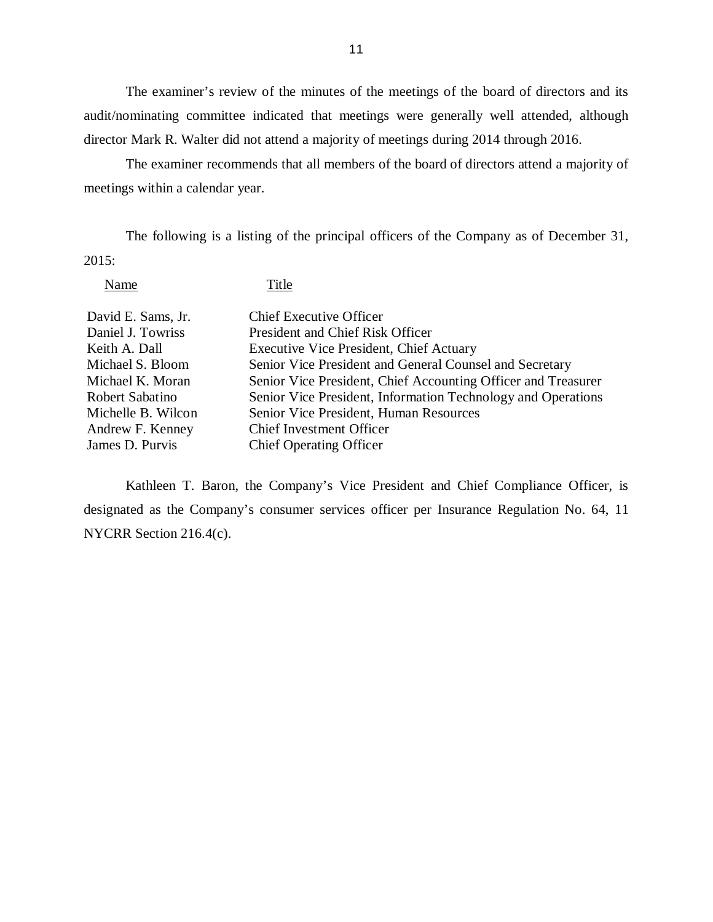The examiner's review of the minutes of the meetings of the board of directors and its audit/nominating committee indicated that meetings were generally well attended, although director Mark R. Walter did not attend a majority of meetings during 2014 through 2016.

 The examiner recommends that all members of the board of directors attend a majority of meetings within a calendar year.

 The following is a listing of the principal officers of the Company as of December 31, 2015:

Name Title

| David E. Sams, Jr. | <b>Chief Executive Officer</b>                                |
|--------------------|---------------------------------------------------------------|
| Daniel J. Towriss  | President and Chief Risk Officer                              |
| Keith A. Dall      | <b>Executive Vice President, Chief Actuary</b>                |
| Michael S. Bloom   | Senior Vice President and General Counsel and Secretary       |
| Michael K. Moran   | Senior Vice President, Chief Accounting Officer and Treasurer |
| Robert Sabatino    | Senior Vice President, Information Technology and Operations  |
| Michelle B. Wilcon | Senior Vice President, Human Resources                        |
| Andrew F. Kenney   | <b>Chief Investment Officer</b>                               |
| James D. Purvis    | <b>Chief Operating Officer</b>                                |

 Kathleen T. Baron, the Company's Vice President and Chief Compliance Officer, is designated as the Company's consumer services officer per Insurance Regulation No. 64, 11 NYCRR Section 216.4(c).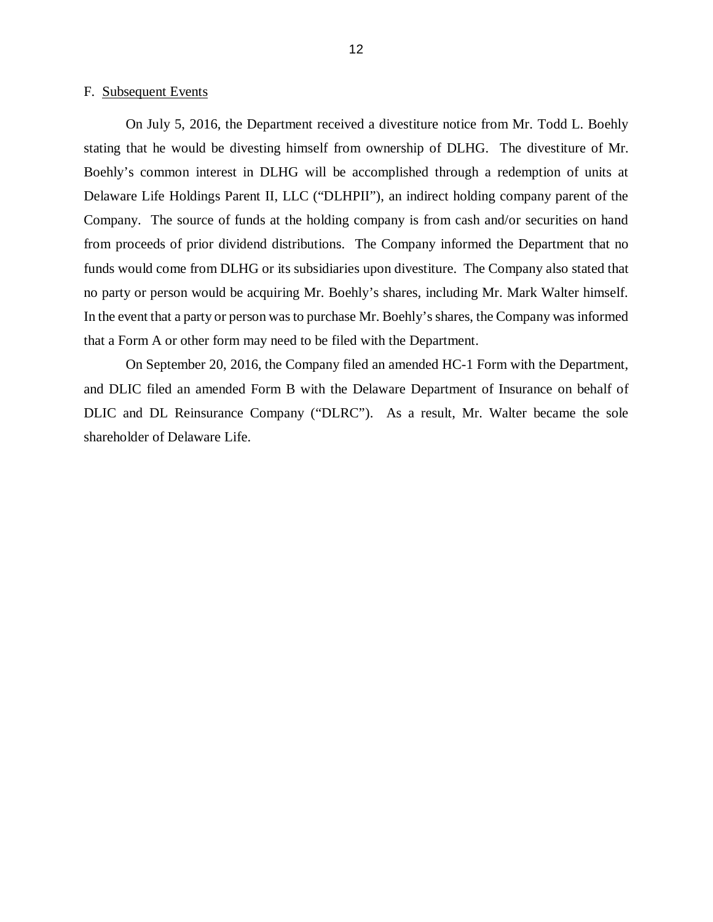#### <span id="page-14-0"></span>F. Subsequent Events

 On July 5, 2016, the Department received a divestiture notice from Mr. Todd L. Boehly stating that he would be divesting himself from ownership of DLHG. The divestiture of Mr. Boehly's common interest in DLHG will be accomplished through a redemption of units at Delaware Life Holdings Parent II, LLC ("DLHPII"), an indirect holding company parent of the Company. The source of funds at the holding company is from cash and/or securities on hand from proceeds of prior dividend distributions. The Company informed the Department that no funds would come from DLHG or its subsidiaries upon divestiture. The Company also stated that no party or person would be acquiring Mr. Boehly's shares, including Mr. Mark Walter himself. In the event that a party or person was to purchase Mr. Boehly's shares, the Company was informed that a Form A or other form may need to be filed with the Department.

 On September 20, 2016, the Company filed an amended HC-1 Form with the Department, and DLIC filed an amended Form B with the Delaware Department of Insurance on behalf of DLIC and DL Reinsurance Company ("DLRC"). As a result, Mr. Walter became the sole shareholder of Delaware Life.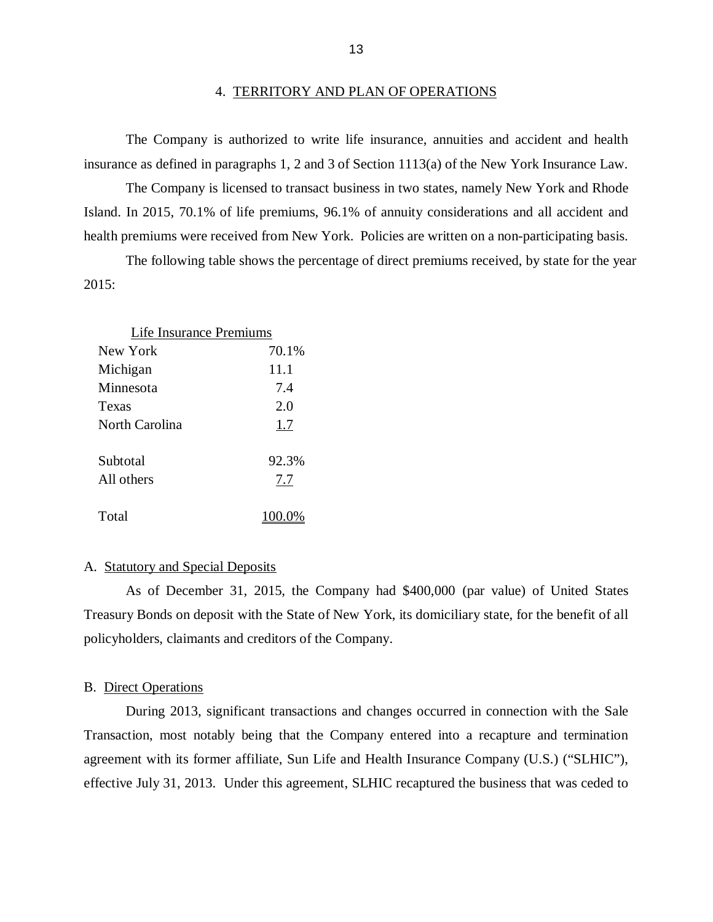#### 4. TERRITORY AND PLAN OF OPERATIONS

 insurance as defined in paragraphs 1, 2 and 3 of Section 1113(a) of the New York Insurance Law. The Company is authorized to write life insurance, annuities and accident and health

 Island. In 2015, 70.1% of life premiums, 96.1% of annuity considerations and all accident and health premiums were received from New York. Policies are written on a non-participating basis. The Company is licensed to transact business in two states, namely New York and Rhode

The following table shows the percentage of direct premiums received, by state for the year 2015:

| Life Insurance Premiums |       |  |  |  |
|-------------------------|-------|--|--|--|
| New York                | 70.1% |  |  |  |
| Michigan                | 11.1  |  |  |  |
| Minnesota               | 7.4   |  |  |  |
| Texas                   | 2.0   |  |  |  |
| North Carolina          | 1.7   |  |  |  |
| Subtotal                | 92.3% |  |  |  |
| All others              | 7.7   |  |  |  |
| Total                   | 100.0 |  |  |  |

#### A. Statutory and Special Deposits

 Treasury Bonds on deposit with the State of New York, its domiciliary state, for the benefit of all policyholders, claimants and creditors of the Company. As of December 31, 2015, the Company had \$400,000 (par value) of United States

#### B. Direct Operations

 During 2013, significant transactions and changes occurred in connection with the Sale Transaction, most notably being that the Company entered into a recapture and termination agreement with its former affiliate, Sun Life and Health Insurance Company (U.S.) ("SLHIC"), effective July 31, 2013. Under this agreement, SLHIC recaptured the business that was ceded to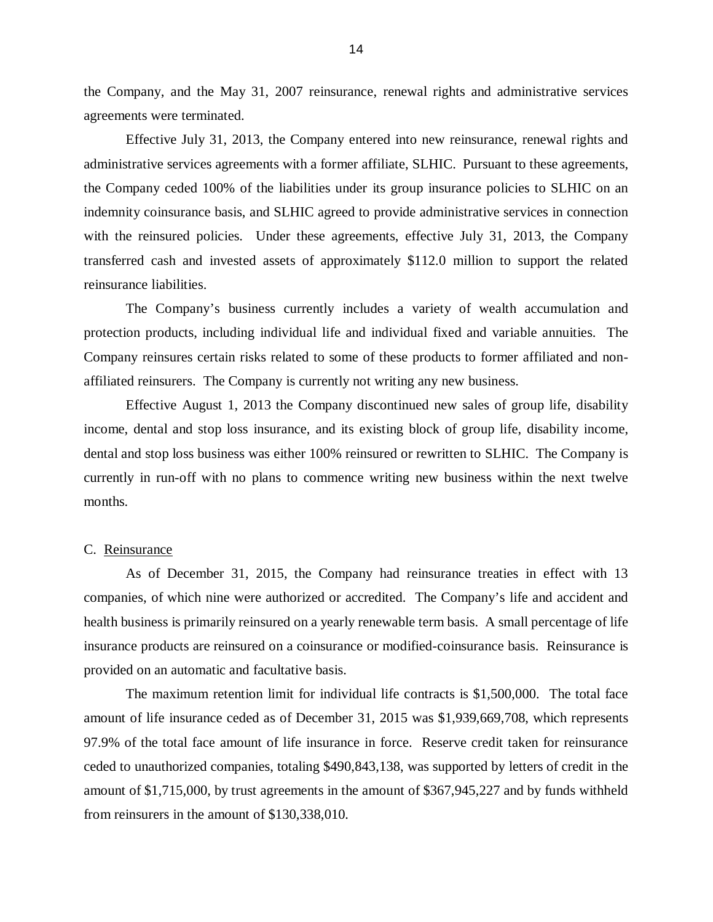<span id="page-16-0"></span> the Company, and the May 31, 2007 reinsurance, renewal rights and administrative services agreements were terminated.

 Effective July 31, 2013, the Company entered into new reinsurance, renewal rights and administrative services agreements with a former affiliate, SLHIC. Pursuant to these agreements, the Company ceded 100% of the liabilities under its group insurance policies to SLHIC on an indemnity coinsurance basis, and SLHIC agreed to provide administrative services in connection with the reinsured policies. Under these agreements, effective July 31, 2013, the Company transferred cash and invested assets of approximately \$112.0 million to support the related reinsurance liabilities.

 protection products, including individual life and individual fixed and variable annuities. The Company reinsures certain risks related to some of these products to former affiliated and non- affiliated reinsurers. The Company is currently not writing any new business. The Company's business currently includes a variety of wealth accumulation and

 Effective August 1, 2013 the Company discontinued new sales of group life, disability income, dental and stop loss insurance, and its existing block of group life, disability income, dental and stop loss business was either 100% reinsured or rewritten to SLHIC. The Company is currently in run-off with no plans to commence writing new business within the next twelve months. months.<br>C. <u>Reinsurance</u>

 As of December 31, 2015, the Company had reinsurance treaties in effect with 13 companies, of which nine were authorized or accredited. The Company's life and accident and health business is primarily reinsured on a yearly renewable term basis. A small percentage of life insurance products are reinsured on a coinsurance or modified-coinsurance basis. Reinsurance is provided on an automatic and facultative basis.

 amount of life insurance ceded as of December 31, 2015 was \$1,939,669,708, which represents 97.9% of the total face amount of life insurance in force. Reserve credit taken for reinsurance ceded to unauthorized companies, totaling \$490,843,138, was supported by letters of credit in the amount of \$1,715,000, by trust agreements in the amount of \$367,945,227 and by funds withheld from reinsurers in the amount of \$130,338,010. The maximum retention limit for individual life contracts is \$1,500,000. The total face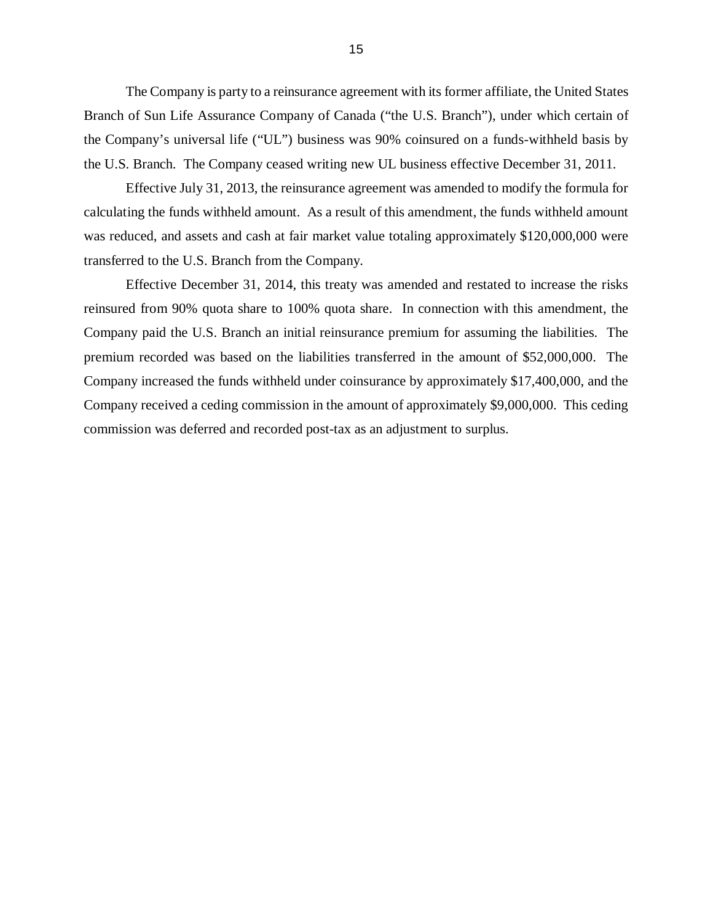The Company is party to a reinsurance agreement with its former affiliate, the United States Branch of Sun Life Assurance Company of Canada ("the U.S. Branch"), under which certain of the Company's universal life ("UL") business was 90% coinsured on a funds-withheld basis by the U.S. Branch. The Company ceased writing new UL business effective December 31, 2011.

 Effective July 31, 2013, the reinsurance agreement was amended to modify the formula for calculating the funds withheld amount. As a result of this amendment, the funds withheld amount was reduced, and assets and cash at fair market value totaling approximately \$120,000,000 were transferred to the U.S. Branch from the Company.

 Effective December 31, 2014, this treaty was amended and restated to increase the risks reinsured from 90% quota share to 100% quota share. In connection with this amendment, the Company paid the U.S. Branch an initial reinsurance premium for assuming the liabilities. The premium recorded was based on the liabilities transferred in the amount of \$52,000,000. The Company increased the funds withheld under coinsurance by approximately \$17,400,000, and the Company received a ceding commission in the amount of approximately \$9,000,000. This ceding commission was deferred and recorded post-tax as an adjustment to surplus.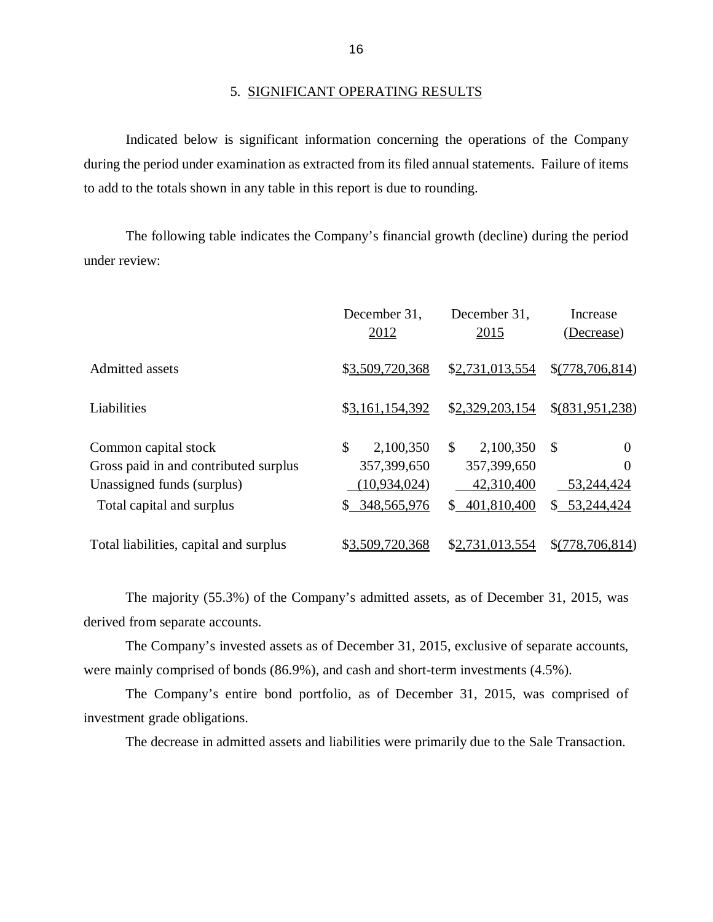#### 5. SIGNIFICANT OPERATING RESULTS

 Indicated below is significant information concerning the operations of the Company during the period under examination as extracted from its filed annual statements. Failure of items to add to the totals shown in any table in this report is due to rounding.

 under review: The following table indicates the Company's financial growth (decline) during the period

|                                                                                                                          | December 31,<br>2012                                            | December 31,<br>2015                                                    | Increase<br>(Decrease)                                |
|--------------------------------------------------------------------------------------------------------------------------|-----------------------------------------------------------------|-------------------------------------------------------------------------|-------------------------------------------------------|
| Admitted assets                                                                                                          | \$3,509,720,368                                                 | \$2,731,013,554                                                         | \$(778,706,814)                                       |
| Liabilities                                                                                                              | \$3,161,154,392                                                 | \$2,329,203,154                                                         | \$(831,951,238)                                       |
| Common capital stock<br>Gross paid in and contributed surplus<br>Unassigned funds (surplus)<br>Total capital and surplus | \$<br>2,100,350<br>357,399,650<br>(10, 934, 024)<br>348,565,976 | 2,100,350<br>$\mathbb{S}$<br>357,399,650<br>42,310,400<br>\$401,810,400 | \$<br>$\theta$<br>0<br>53,244,424<br>53,244,424<br>S. |
| Total liabilities, capital and surplus                                                                                   | \$3,509,720,368                                                 | \$2.731.013.554                                                         | \$(778, 706, 814)                                     |

 derived from separate accounts. The majority (55.3%) of the Company's admitted assets, as of December 31, 2015, was

 were mainly comprised of bonds (86.9%), and cash and short-term investments (4.5%). The Company's invested assets as of December 31, 2015, exclusive of separate accounts,

 investment grade obligations. The Company's entire bond portfolio, as of December 31, 2015, was comprised of

The decrease in admitted assets and liabilities were primarily due to the Sale Transaction.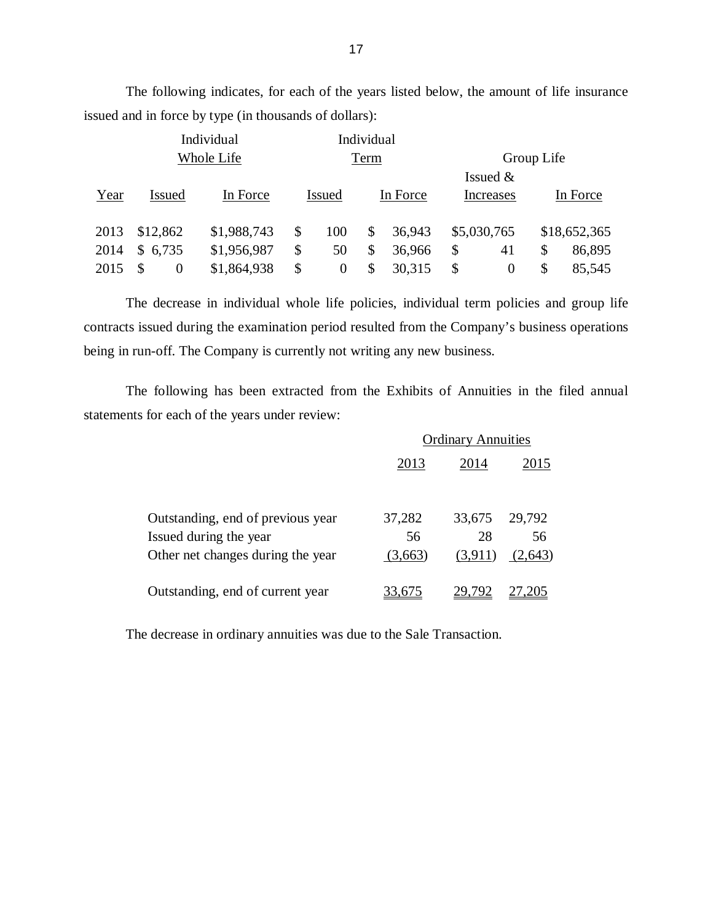|      |                      | Individual  |                | Individual |          |                      |            |              |
|------|----------------------|-------------|----------------|------------|----------|----------------------|------------|--------------|
|      |                      | Whole Life  |                | Term       |          |                      | Group Life |              |
|      |                      |             |                |            |          | Issued $&$           |            |              |
| Year | <b>Issued</b>        | In Force    | <b>Issued</b>  |            | In Force | Increases            |            | In Force     |
| 2013 | \$12,862             | \$1,988,743 | \$<br>100      | \$         | 36,943   | \$5,030,765          |            | \$18,652,365 |
| 2014 | \$6,735              | \$1,956,987 | \$<br>50       | \$         | 36,966   | \$<br>41             | \$         | 86,895       |
| 2015 | \$<br>$\overline{0}$ | \$1,864,938 | \$<br>$\Omega$ | \$         | 30,315   | \$<br>$\overline{0}$ | \$         | 85,545       |

issued and in force by type (in thousands of dollars):

 contracts issued during the examination period resulted from the Company's business operations being in run-off. The Company is currently not writing any new business. The decrease in individual whole life policies, individual term policies and group life

 statements for each of the years under review: The following has been extracted from the Exhibits of Annuities in the filed annual

|                                   | <b>Ordinary Annuities</b> |         |         |
|-----------------------------------|---------------------------|---------|---------|
|                                   | 2013                      | 2014    | 2015    |
|                                   |                           |         |         |
| Outstanding, end of previous year | 37,282                    | 33,675  | 29,792  |
| Issued during the year            | 56                        | 28      | 56      |
| Other net changes during the year | (3,663)                   | (3,911) | (2,643) |
| Outstanding, end of current year  | 3.675                     |         |         |

The decrease in ordinary annuities was due to the Sale Transaction.

The following indicates, for each of the years listed below, the amount of life insurance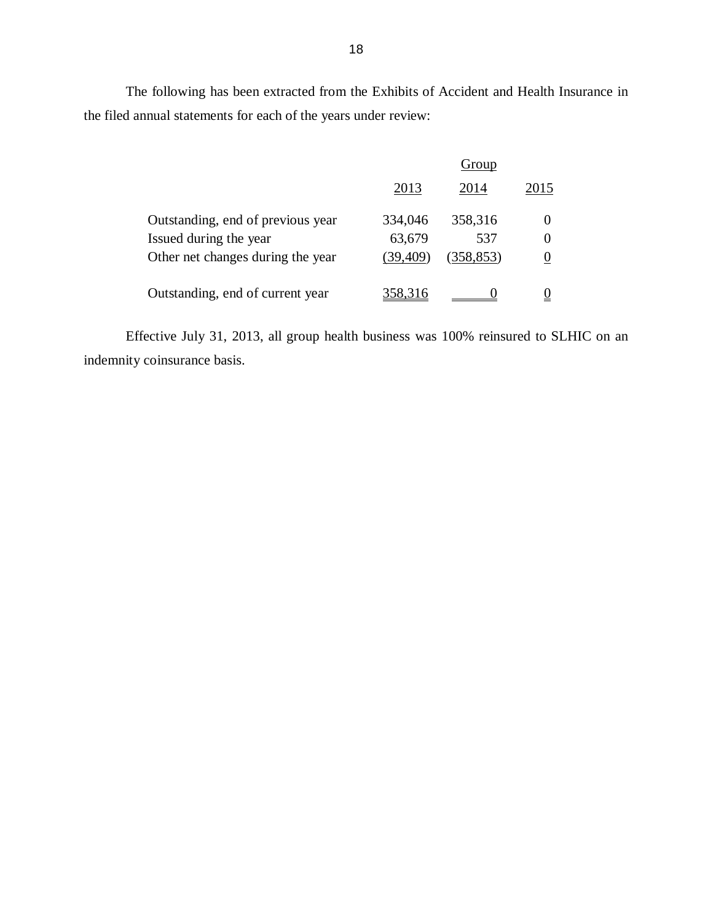The following has been extracted from the Exhibits of Accident and Health Insurance in the filed annual statements for each of the years under review:

|                                   | Group     |            |      |
|-----------------------------------|-----------|------------|------|
|                                   | 2013      | 2014       | 2015 |
| Outstanding, end of previous year | 334,046   | 358,316    |      |
| Issued during the year            | 63,679    | 537        |      |
| Other net changes during the year | (39, 409) | (358, 853) |      |
| Outstanding, end of current year  | 358.316   |            |      |

 Effective July 31, 2013, all group health business was 100% reinsured to SLHIC on an indemnity coinsurance basis.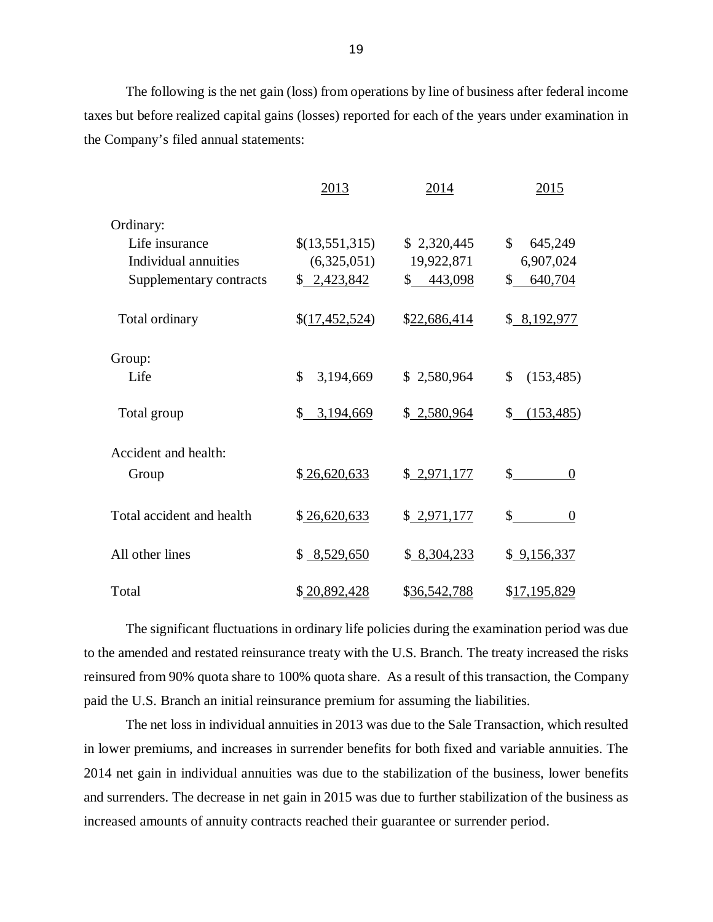taxes but before realized capital gains (losses) reported for each of the years under examination in the Company's filed annual statements: The following is the net gain (loss) from operations by line of business after federal income

|                           | 2013            | 2014         | 2015                     |
|---------------------------|-----------------|--------------|--------------------------|
| Ordinary:                 |                 |              |                          |
| Life insurance            | \$(13,551,315)  | \$2,320,445  | \$<br>645,249            |
| Individual annuities      | (6,325,051)     | 19,922,871   | 6,907,024                |
| Supplementary contracts   | \$2,423,842     | \$443,098    | 640,704<br>$\mathbb{S}$  |
| Total ordinary            | \$(17,452,524)  | \$22,686,414 | \$8,192,977              |
| Group:                    |                 |              |                          |
| Life                      | \$<br>3,194,669 | \$2,580,964  | \$<br>(153, 485)         |
| Total group               | \$3,194,669     | \$2,580,964  | (153, 485)<br>S.         |
| Accident and health:      |                 |              |                          |
| Group                     | \$26,620,633    | \$2,971,177  | $s$ <sub>____</sub><br>0 |
| Total accident and health | \$26,620,633    | \$2,971,177  | \$<br>$\overline{0}$     |
| All other lines           | \$8,529,650     | \$8,304,233  | \$9,156,337              |
| Total                     | \$20,892,428    | \$36,542,788 | \$17,195,829             |

 The significant fluctuations in ordinary life policies during the examination period was due to the amended and restated reinsurance treaty with the U.S. Branch. The treaty increased the risks reinsured from 90% quota share to 100% quota share. As a result of this transaction, the Company paid the U.S. Branch an initial reinsurance premium for assuming the liabilities.

 The net loss in individual annuities in 2013 was due to the Sale Transaction, which resulted in lower premiums, and increases in surrender benefits for both fixed and variable annuities. The 2014 net gain in individual annuities was due to the stabilization of the business, lower benefits and surrenders. The decrease in net gain in 2015 was due to further stabilization of the business as increased amounts of annuity contracts reached their guarantee or surrender period.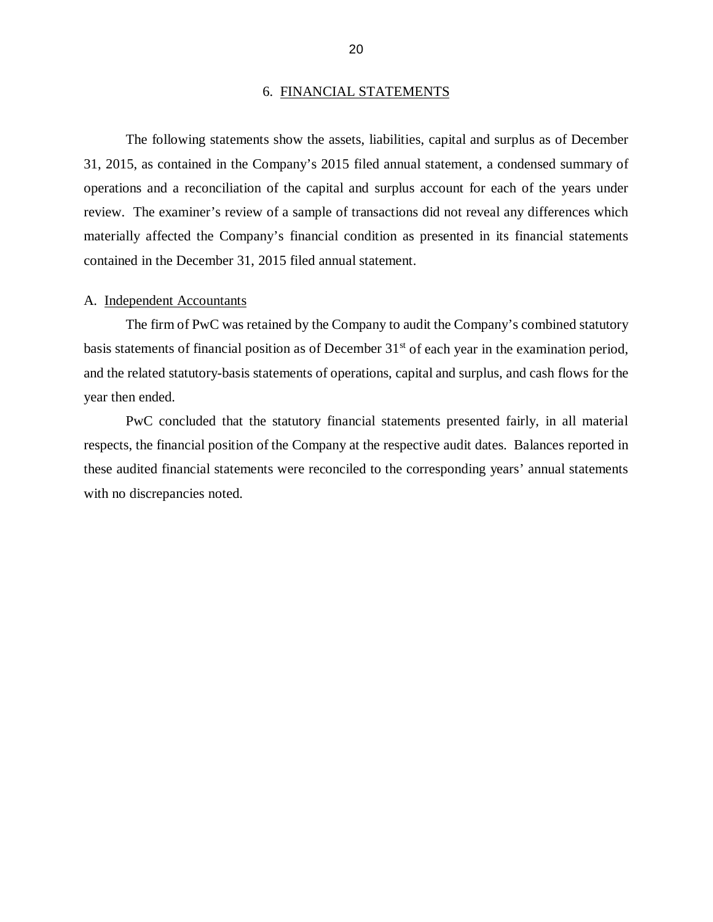#### 6. FINANCIAL STATEMENTS

<span id="page-22-0"></span> 31, 2015, as contained in the Company's 2015 filed annual statement, a condensed summary of operations and a reconciliation of the capital and surplus account for each of the years under review. The examiner's review of a sample of transactions did not reveal any differences which materially affected the Company's financial condition as presented in its financial statements contained in the December 31, 2015 filed annual statement. The following statements show the assets, liabilities, capital and surplus as of December

#### A. Independent Accountants

basis statements of financial position as of December 31<sup>st</sup> of each year in the examination period, and the related statutory-basis statements of operations, capital and surplus, and cash flows for the year then ended. The firm of PwC was retained by the Company to audit the Company's combined statutory

 respects, the financial position of the Company at the respective audit dates. Balances reported in these audited financial statements were reconciled to the corresponding years' annual statements with no discrepancies noted. PwC concluded that the statutory financial statements presented fairly, in all material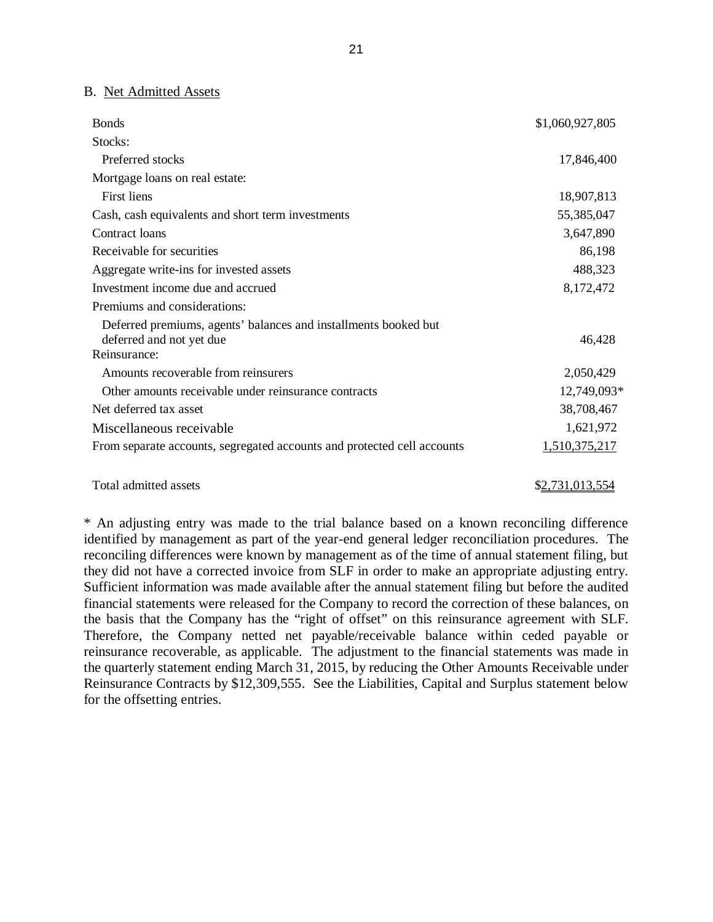#### B. Net Admitted Assets

| <b>Bonds</b>                                                            | \$1,060,927,805 |
|-------------------------------------------------------------------------|-----------------|
| Stocks:                                                                 |                 |
| Preferred stocks                                                        | 17,846,400      |
| Mortgage loans on real estate:                                          |                 |
| First liens                                                             | 18,907,813      |
| Cash, cash equivalents and short term investments                       | 55,385,047      |
| Contract loans                                                          | 3,647,890       |
| Receivable for securities                                               | 86,198          |
| Aggregate write-ins for invested assets                                 | 488,323         |
| Investment income due and accrued                                       | 8,172,472       |
| Premiums and considerations:                                            |                 |
| Deferred premiums, agents' balances and installments booked but         |                 |
| deferred and not yet due<br>Reinsurance:                                | 46,428          |
| Amounts recoverable from reinsurers                                     | 2,050,429       |
| Other amounts receivable under reinsurance contracts                    | 12,749,093*     |
| Net deferred tax asset                                                  | 38,708,467      |
| Miscellaneous receivable                                                | 1,621,972       |
| From separate accounts, segregated accounts and protected cell accounts | 1,510,375,217   |
|                                                                         |                 |

Total admitted assets  $\frac{$2,731,013,554}{2}$ 

 \* An adjusting entry was made to the trial balance based on a known reconciling difference identified by management as part of the year-end general ledger reconciliation procedures. The reconciling differences were known by management as of the time of annual statement filing, but they did not have a corrected invoice from SLF in order to make an appropriate adjusting entry. Sufficient information was made available after the annual statement filing but before the audited financial statements were released for the Company to record the correction of these balances, on the basis that the Company has the "right of offset" on this reinsurance agreement with SLF. Therefore, the Company netted net payable/receivable balance within ceded payable or reinsurance recoverable, as applicable. The adjustment to the financial statements was made in the quarterly statement ending March 31, 2015, by reducing the Other Amounts Receivable under Reinsurance Contracts by \$12,309,555. See the Liabilities, Capital and Surplus statement below for the offsetting entries.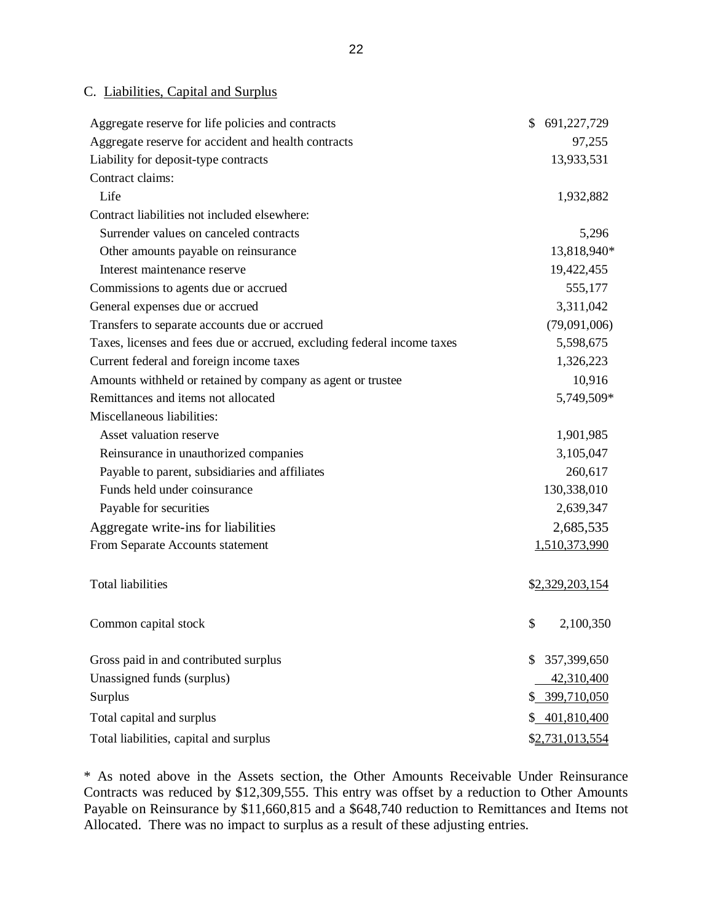#### C. Liabilities, Capital and Surplus

| Aggregate reserve for life policies and contracts                       | \$<br>691,227,729 |
|-------------------------------------------------------------------------|-------------------|
| Aggregate reserve for accident and health contracts                     | 97,255            |
| Liability for deposit-type contracts                                    | 13,933,531        |
| Contract claims:                                                        |                   |
| Life                                                                    | 1,932,882         |
| Contract liabilities not included elsewhere:                            |                   |
| Surrender values on canceled contracts                                  | 5,296             |
| Other amounts payable on reinsurance                                    | 13,818,940*       |
| Interest maintenance reserve                                            | 19,422,455        |
| Commissions to agents due or accrued                                    | 555,177           |
| General expenses due or accrued                                         | 3,311,042         |
| Transfers to separate accounts due or accrued                           | (79,091,006)      |
| Taxes, licenses and fees due or accrued, excluding federal income taxes | 5,598,675         |
| Current federal and foreign income taxes                                | 1,326,223         |
| Amounts withheld or retained by company as agent or trustee             | 10,916            |
| Remittances and items not allocated                                     | 5,749,509*        |
| Miscellaneous liabilities:                                              |                   |
| Asset valuation reserve                                                 | 1,901,985         |
| Reinsurance in unauthorized companies                                   | 3,105,047         |
| Payable to parent, subsidiaries and affiliates                          | 260,617           |
| Funds held under coinsurance                                            | 130,338,010       |
| Payable for securities                                                  | 2,639,347         |
| Aggregate write-ins for liabilities                                     | 2,685,535         |
| From Separate Accounts statement                                        | 1,510,373,990     |
| <b>Total liabilities</b>                                                | \$2,329,203,154   |
| Common capital stock                                                    | \$<br>2,100,350   |
| Gross paid in and contributed surplus                                   | 357,399,650<br>\$ |
| Unassigned funds (surplus)                                              | 42,310,400        |
| Surplus                                                                 | 399,710,050<br>\$ |
| Total capital and surplus                                               | 401,810,400<br>\$ |
| Total liabilities, capital and surplus                                  | \$2,731,013,554   |

 \* As noted above in the Assets section, the Other Amounts Receivable Under Reinsurance Contracts was reduced by \$12,309,555. This entry was offset by a reduction to Other Amounts Payable on Reinsurance by \$11,660,815 and a \$648,740 reduction to Remittances and Items not Allocated. There was no impact to surplus as a result of these adjusting entries.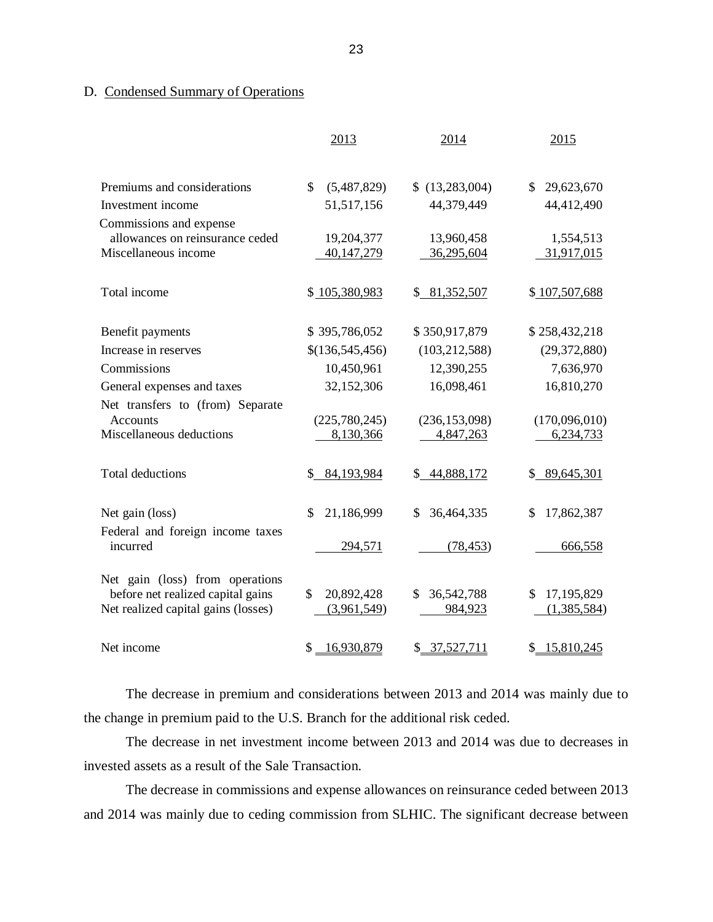#### D. Condensed Summary of Operations

|                                                                                                             | 2013                            | 2014                        | 2015                            |
|-------------------------------------------------------------------------------------------------------------|---------------------------------|-----------------------------|---------------------------------|
| Premiums and considerations                                                                                 | \$<br>(5,487,829)               | \$(13, 283, 004)            | \$29,623,670                    |
| Investment income                                                                                           | 51,517,156                      | 44,379,449                  | 44,412,490                      |
| Commissions and expense                                                                                     |                                 |                             |                                 |
| allowances on reinsurance ceded                                                                             | 19,204,377                      | 13,960,458                  | 1,554,513                       |
| Miscellaneous income                                                                                        | 40,147,279                      | 36,295,604                  | 31,917,015                      |
| Total income                                                                                                | \$105,380,983                   | \$81,352,507                | \$107,507,688                   |
| Benefit payments                                                                                            | \$395,786,052                   | \$350,917,879               | \$258,432,218                   |
| Increase in reserves                                                                                        | \$(136,545,456)                 | (103, 212, 588)             | (29, 372, 880)                  |
| Commissions                                                                                                 | 10,450,961                      | 12,390,255                  | 7,636,970                       |
| General expenses and taxes                                                                                  | 32,152,306                      | 16,098,461                  | 16,810,270                      |
| Net transfers to (from) Separate                                                                            |                                 |                             |                                 |
| <b>Accounts</b>                                                                                             | (225,780,245)                   | (236, 153, 098)             | (170,096,010)                   |
| Miscellaneous deductions                                                                                    | 8,130,366                       | 4,847,263                   | 6,234,733                       |
| <b>Total deductions</b>                                                                                     | \$84,193,984                    | \$44,888,172                | \$89,645,301                    |
| Net gain (loss)                                                                                             | 21,186,999<br>\$                | 36,464,335<br>\$            | 17,862,387<br>$\mathcal{S}$     |
| Federal and foreign income taxes<br>incurred                                                                | 294,571                         | (78, 453)                   | 666,558                         |
| Net gain (loss) from operations<br>before net realized capital gains<br>Net realized capital gains (losses) | 20,892,428<br>\$<br>(3,961,549) | 36,542,788<br>\$<br>984,923 | 17,195,829<br>\$<br>(1,385,584) |
| Net income                                                                                                  | \$<br>16,930,879                | 37,527,711<br>\$            | 15,810,245<br>\$                |

 The decrease in premium and considerations between 2013 and 2014 was mainly due to the change in premium paid to the U.S. Branch for the additional risk ceded.

 invested assets as a result of the Sale Transaction. The decrease in net investment income between 2013 and 2014 was due to decreases in

 and 2014 was mainly due to ceding commission from SLHIC. The significant decrease between The decrease in commissions and expense allowances on reinsurance ceded between 2013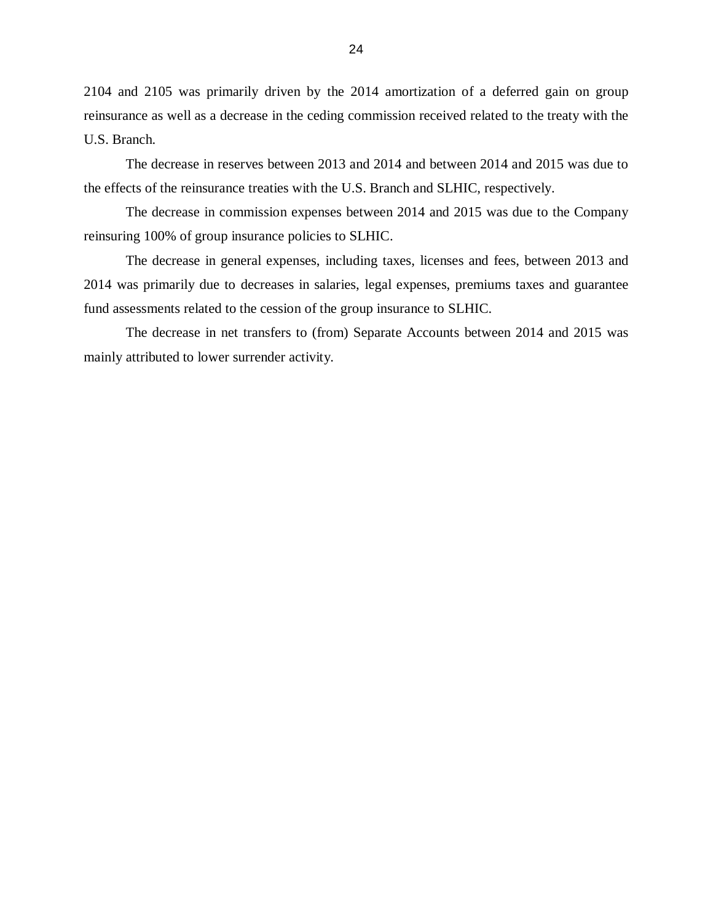2104 and 2105 was primarily driven by the 2014 amortization of a deferred gain on group reinsurance as well as a decrease in the ceding commission received related to the treaty with the U.S. Branch.

 the effects of the reinsurance treaties with the U.S. Branch and SLHIC, respectively. The decrease in reserves between 2013 and 2014 and between 2014 and 2015 was due to

 reinsuring 100% of group insurance policies to SLHIC. The decrease in commission expenses between 2014 and 2015 was due to the Company

 2014 was primarily due to decreases in salaries, legal expenses, premiums taxes and guarantee fund assessments related to the cession of the group insurance to SLHIC. The decrease in general expenses, including taxes, licenses and fees, between 2013 and

 mainly attributed to lower surrender activity. The decrease in net transfers to (from) Separate Accounts between 2014 and 2015 was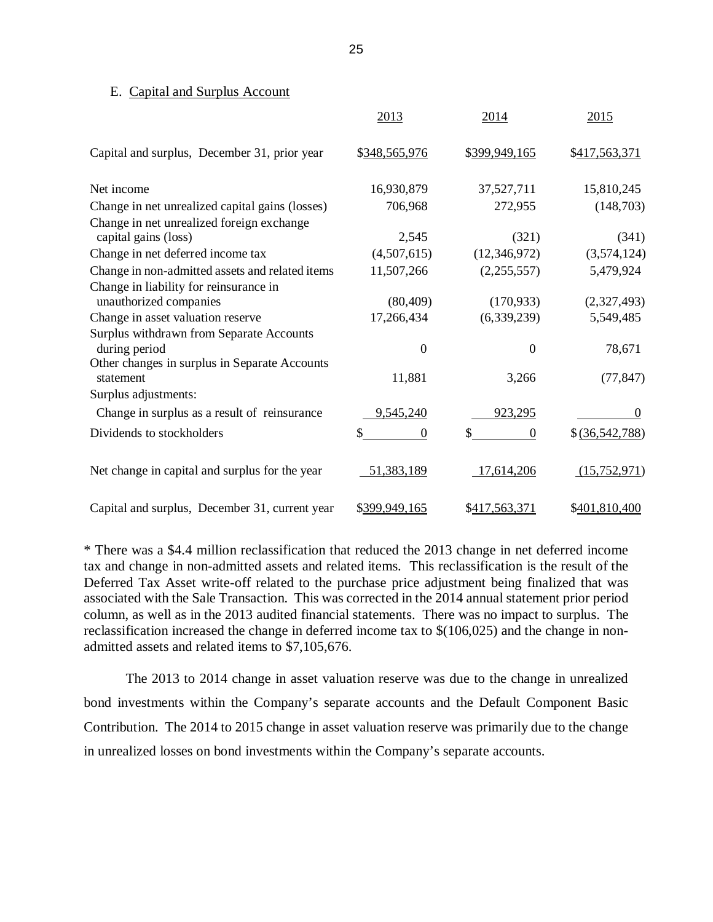### <span id="page-27-0"></span>E. Capital and Surplus Account

|                                                                                                            | 2013             | 2014             | 2015                     |
|------------------------------------------------------------------------------------------------------------|------------------|------------------|--------------------------|
| Capital and surplus, December 31, prior year                                                               | \$348,565,976    | \$399,949,165    | \$417,563,371            |
| Net income                                                                                                 | 16,930,879       | 37,527,711       | 15,810,245               |
| Change in net unrealized capital gains (losses)                                                            | 706,968          | 272,955          | (148,703)                |
| Change in net unrealized foreign exchange<br>capital gains (loss)                                          | 2,545            | (321)            | (341)                    |
| Change in net deferred income tax                                                                          | (4,507,615)      | (12, 346, 972)   | (3,574,124)              |
| Change in non-admitted assets and related items                                                            | 11,507,266       | (2,255,557)      | 5,479,924                |
| Change in liability for reinsurance in<br>unauthorized companies                                           | (80, 409)        | (170, 933)       | (2,327,493)              |
| Change in asset valuation reserve                                                                          | 17,266,434       | (6,339,239)      | 5,549,485                |
| Surplus withdrawn from Separate Accounts<br>during period<br>Other changes in surplus in Separate Accounts | $\boldsymbol{0}$ | $\boldsymbol{0}$ | 78,671                   |
| statement                                                                                                  | 11,881           | 3,266            | (77, 847)                |
| Surplus adjustments:                                                                                       |                  |                  |                          |
| Change in surplus as a result of reinsurance                                                               | 9,545,240        | 923,295          | $\Omega$                 |
| Dividends to stockholders                                                                                  | \$<br>$\Omega$   | $\Omega$         | $$ \frac{(36,542,788)}{$ |
| Net change in capital and surplus for the year                                                             | 51,383,189       | 17,614,206       | (15,752,971)             |
| Capital and surplus, December 31, current year                                                             | \$399,949,165    | \$417,563,371    | \$401,810,400            |

 \* There was a \$4.4 million reclassification that reduced the 2013 change in net deferred income tax and change in non-admitted assets and related items. This reclassification is the result of the Deferred Tax Asset write-off related to the purchase price adjustment being finalized that was associated with the Sale Transaction. This was corrected in the 2014 annual statement prior period column, as well as in the 2013 audited financial statements. There was no impact to surplus. The reclassification increased the change in deferred income tax to \$(106,025) and the change in non-admitted assets and related items to \$7,105,676.

 The 2013 to 2014 change in asset valuation reserve was due to the change in unrealized bond investments within the Company's separate accounts and the Default Component Basic Contribution. The 2014 to 2015 change in asset valuation reserve was primarily due to the change in unrealized losses on bond investments within the Company's separate accounts.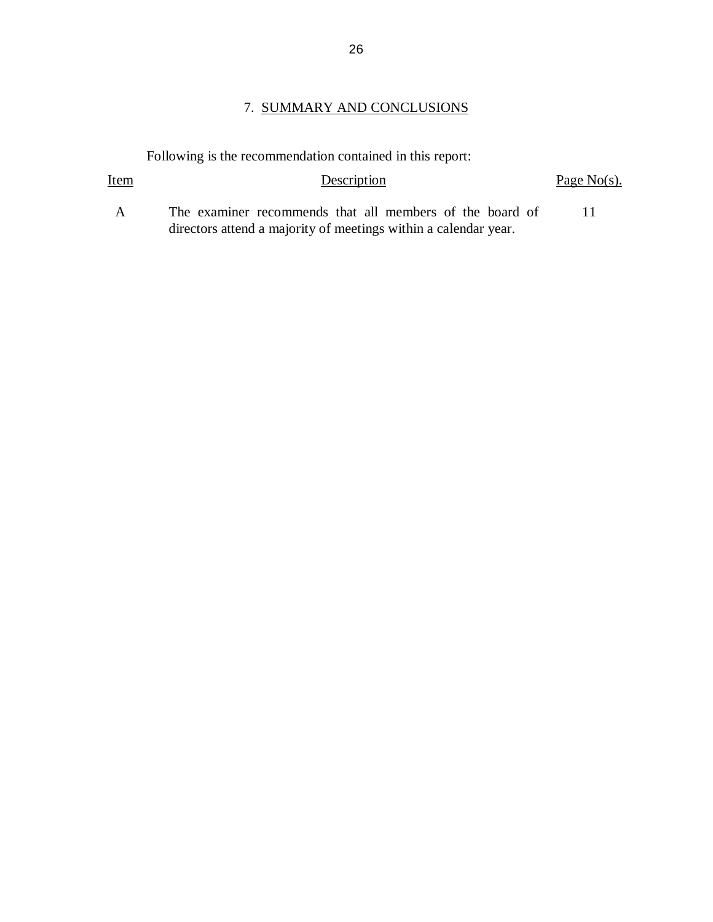### 7. SUMMARY AND CONCLUSIONS

Following is the recommendation contained in this report:

Item

 $\overline{A}$  directors attend a majority of meetings within a calendar year. The examiner recommends that all members of the board of 11

 $Description \tPage No(s).$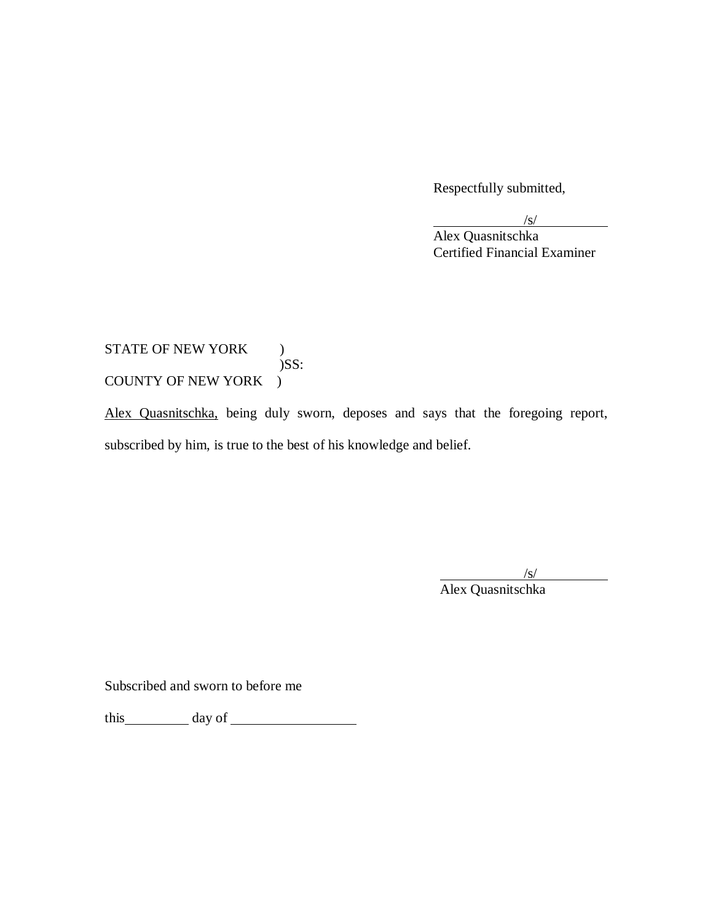Respectfully submitted,

/s/

Alex Quasnitschka Certified Financial Examiner

# STATE OF NEW YORK ) COUNTY OF NEW YORK ) )SS:

Alex Quasnitschka, being duly sworn, deposes and says that the foregoing report, subscribed by him, is true to the best of his knowledge and belief.

/s/

Alex Quasnitschka

Subscribed and sworn to before me

this day of